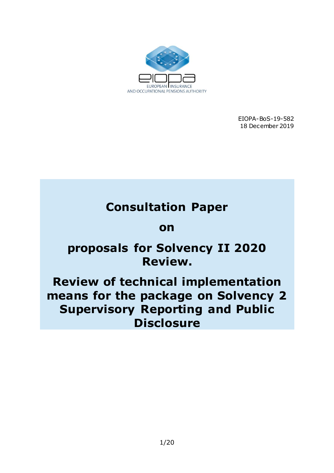

EIOPA-BoS-19-582 18 December 2019

# **Consultation Paper**

## **on**

# **proposals for Solvency II 2020 Review.**

# **Review of technical implementation means for the package on Solvency 2 Supervisory Reporting and Public Disclosure**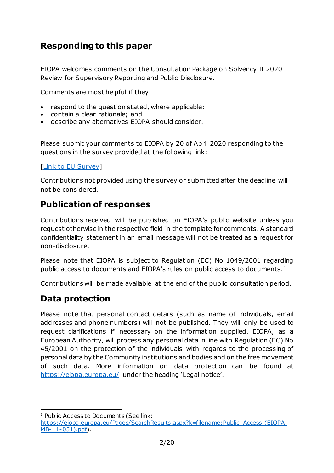## **Responding to this paper**

EIOPA welcomes comments on the Consultation Package on Solvency II 2020 Review for Supervisory Reporting and Public Disclosure.

Comments are most helpful if they:

- respond to the question stated, where applicable;
- contain a clear rationale; and
- describe any alternatives EIOPA should consider.

Please submit your comments to EIOPA by 20 of April 2020 responding to the questions in the survey provided at the following link:

#### [\[Link to EU Survey\]](https://ec.europa.eu/eusurvey/runner/Consultation_on_Review_of_Solvency2_technical_implementation_means)

Contributions not provided using the survey or submitted after the deadline will not be considered.

### **Publication of responses**

Contributions received will be published on EIOPA's public website unless you request otherwise in the respective field in the template for comments. A standard confidentiality statement in an email message will not be treated as a request for non-disclosure.

Please note that EIOPA is subject to Regulation (EC) No 1049/2001 regarding public access to documents and EIOPA's rules on public access to documents.<sup>1</sup>

Contributions will be made available at the end of the public consultation period.

## **Data protection**

Please note that personal contact details (such as name of individuals, email addresses and phone numbers) will not be published. They will only be used to request clarifications if necessary on the information supplied. EIOPA, as a European Authority, will process any personal data in line with Regulation (EC) No 45/2001 on the protection of the individuals with regards to the processing of personal data by the Community institutions and bodies and on the free movement of such data. More information on data protection can be found at <https://eiopa.europa.eu/> under the heading 'Legal notice'.

<sup>1</sup> <sup>1</sup> Public Access to Documents (See link:

[https://eiopa.europa.eu/Pages/SearchResults.aspx?k=filename:Public](https://eiopa.europa.eu/Pages/SearchResults.aspx?k=filename:Public-Access-(EIOPA-MB-11-051).pdf) -Access-(EIOPA-[MB-11-051\).pdf\)](https://eiopa.europa.eu/Pages/SearchResults.aspx?k=filename:Public-Access-(EIOPA-MB-11-051).pdf).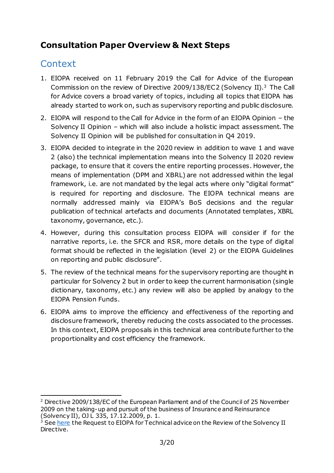## **Consultation Paper Overview & Next Steps**

## **Context**

- 1. EIOPA received on 11 February 2019 the Call for Advice of the European Commission on the review of Directive 2009/138/EC2 (Solvency II).<sup>3</sup> The Call for Advice covers a broad variety of topics, including all topics that EIOPA has already started to work on, such as supervisory reporting and public disclosure.
- 2. EIOPA will respond to the Call for Advice in the form of an EIOPA Opinion the Solvency II Opinion – which will also include a holistic impact assessment. The Solvency II Opinion will be published for consultation in Q4 2019.
- 3. EIOPA decided to integrate in the 2020 review in addition to [wave 1](https://eiopa.europa.eu/Pages/Consultations/Call-for-Input-on-Solvency-II-Reporting-and-Disclosure-Review-2020-deadline-21-February-2019.aspx) and [wave](https://eiopa.europa.eu/Pages/Consultation-Paper-on-the-Opinion-on-the-2020-review-of-Solvency-II.aspx)  [2](https://eiopa.europa.eu/Pages/Consultation-Paper-on-the-Opinion-on-the-2020-review-of-Solvency-II.aspx) (also) the technical implementation means into the Solvency II 2020 review package, to ensure that it covers the entire reporting processes. However, the means of implementation (DPM and XBRL) are not addressed within the legal framework, i.e. are not mandated by the legal acts where only "digital format" is required for reporting and disclosure. The EIOPA technical means are normally addressed mainly via EIOPA's BoS decisions and the regular publication of technical artefacts and documents (Annotated templates, XBRL taxonomy, governance, etc.).
- 4. However, during this consultation process EIOPA will consider if for the narrative reports, i.e. the SFCR and RSR, more details on the type of digital format should be reflected in the legislation (level 2) or the EIOPA Guidelines on reporting and public disclosure".
- 5. The review of the technical means for the supervisory reporting are thought in particular for Solvency 2 but in order to keep the current harmonisation (single dictionary, taxonomy, etc.) any review will also be applied by analogy to the EIOPA Pension Funds.
- 6. EIOPA aims to improve the efficiency and effectiveness of the reporting and disclosure framework, thereby reducing the costs associated to the processes. In this context, EIOPA proposals in this technical area contribute further to the proportionality and cost efficiency the framework.

<sup>1</sup> <sup>2</sup> Directive 2009/138/EC of the European Parliament and of the Council of 25 November 2009 on the taking-up and pursuit of the business of Insurance and Reinsurance (Solvency II), OJ L 335, 17.12.2009, p. 1.

<sup>&</sup>lt;sup>3</sup> See [here](https://ec.europa.eu/info/sites/info/files/business_economy_euro/banking_and_finance/documents/190211-request-eiopa-technical-advice-review-solvency-2.pdf) the Request to EIOPA for Technical advice on the Review of the Solvency II Directive.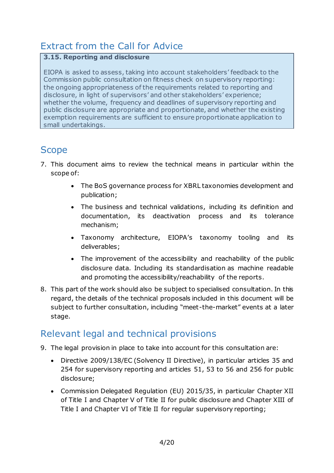## Extract from the Call for Advice

#### **3.15. Reporting and disclosure**

EIOPA is asked to assess, taking into account stakeholders' feedback to the Commission public consultation on fitness check on supervisory reporting: the ongoing appropriateness of the requirements related to reporting and disclosure, in light of supervisors' and other stakeholders' experience; whether the volume, frequency and deadlines of supervisory reporting and public disclosure are appropriate and proportionate, and whether the existing exemption requirements are sufficient to ensure proportionate application to small undertakings.

## **Scope**

- 7. This document aims to review the technical means in particular within the scope of:
	- The BoS governance process for XBRL taxonomies development and publication;
	- The business and technical validations, including its definition and documentation, its deactivation process and its tolerance mechanism;
	- Taxonomy architecture, EIOPA's taxonomy tooling and its deliverables;
	- The improvement of the accessibility and reachability of the public disclosure data. Including its standardisation as machine readable and promoting the accessibility/reachability of the reports.
- 8. This part of the work should also be subject to specialised consultation. In this regard, the details of the technical proposals included in this document will be subject to further consultation, including "meet-the-market" events at a later stage.

## Relevant legal and technical provisions

- 9. The legal provision in place to take into account for this consultation are:
	- Directive 2009/138/EC (Solvency II Directive), in particular articles 35 and 254 for supervisory reporting and articles 51, 53 to 56 and 256 for public disclosure;
	- Commission Delegated Regulation (EU) 2015/35, in particular Chapter XII of Title I and Chapter V of Title II for public disclosure and Chapter XIII of Title I and Chapter VI of Title II for regular supervisory reporting;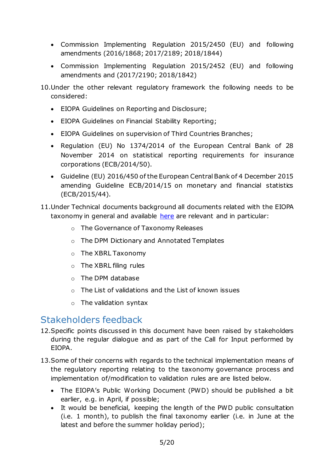- Commission Implementing Regulation 2015/2450 (EU) and following amendments (2016/1868; 2017/2189; 2018/1844)
- Commission Implementing Regulation 2015/2452 (EU) and following amendments and (2017/2190; 2018/1842)

10.Under the other relevant regulatory framework the following needs to be considered:

- EIOPA Guidelines on Reporting and Disclosure;
- EIOPA Guidelines on Financial Stability Reporting;
- EIOPA Guidelines on supervision of Third Countries Branches;
- Regulation (EU) No 1374/2014 of the European Central Bank of 28 November 2014 on statistical reporting requirements for insurance corporations (ECB/2014/50).
- Guideline (EU) 2016/450 of the European Central Bank of 4 December 2015 amending Guideline ECB/2014/15 on monetary and financial statistics (ECB/2015/44).
- 11.Under Technical documents background all documents related with the EIOPA taxonomy in general and available [here](https://www.eiopa.europa.eu/tools-and-data/supervisory-reporting-dpm-and-xbrl_en) are relevant and in particular:
	- o The Governance of Taxonomy Releases
	- o The DPM Dictionary and Annotated Templates
	- o The XBRL Taxonomy
	- o The XBRL filing rules
	- o The DPM database
	- o The List of validations and the List of known issues
	- o The validation syntax

## Stakeholders feedback

- 12. Specific points discussed in this document have been raised by stakeholders during the regular dialogue and as part of the Call for Input performed by EIOPA.
- 13.Some of their concerns with regards to the technical implementation means of the regulatory reporting relating to the taxonomy governance process and implementation of/modification to validation rules are are listed below.
	- The EIOPA's Public Working Document (PWD) should be published a bit earlier, e.g. in April, if possible;
	- It would be beneficial, keeping the length of the PWD public consultation (i.e. 1 month), to publish the final taxonomy earlier (i.e. in June at the latest and before the summer holiday period);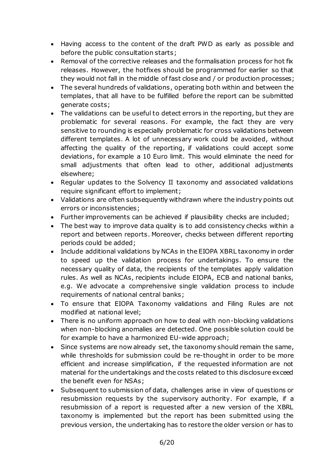- Having access to the content of the draft PWD as early as possible and before the public consultation starts;
- Removal of the corrective releases and the formalisation process for hot fix releases. However, the hotfixes should be programmed for earlier so that they would not fall in the middle of fast close and / or production processes;
- The several hundreds of validations, operating both within and between the templates, that all have to be fulfilled before the report can be submitted generate costs;
- The validations can be useful to detect errors in the reporting, but they are problematic for several reasons. For example, the fact they are very sensitive to rounding is especially problematic for cross validations between different templates. A lot of unnecessary work could be avoided, without affecting the quality of the reporting, if validations could accept some deviations, for example a 10 Euro limit. This would eliminate the need for small adjustments that often lead to other, additional adjustments elsewhere;
- Regular updates to the Solvency II taxonomy and associated validations require significant effort to implement;
- Validations are often subsequently withdrawn where the industry points out errors or inconsistencies;
- Further improvements can be achieved if plausibility checks are included;
- The best way to improve data quality is to add consistency checks within a report and between reports. Moreover, checks between different reporting periods could be added;
- Include additional validations by NCAs in the EIOPA XBRL taxonomy in order to speed up the validation process for undertakings. To ensure the necessary quality of data, the recipients of the templates apply validation rules. As well as NCAs, recipients include EIOPA, ECB and national banks, e.g. We advocate a comprehensive single validation process to include requirements of national central banks;
- To ensure that EIOPA Taxonomy validations and Filing Rules are not modified at national level;
- There is no uniform approach on how to deal with non-blocking validations when non-blocking anomalies are detected. One possible solution could be for example to have a harmonized EU-wide approach;
- Since systems are now already set, the taxonomy should remain the same, while thresholds for submission could be re-thought in order to be more efficient and increase simplification, if the requested information are not material for the undertakings and the costs related to this disclosure exceed the benefit even for NSAs;
- Subsequent to submission of data, challenges arise in view of questions or resubmission requests by the supervisory authority. For example, if a resubmission of a report is requested after a new version of the XBRL taxonomy is implemented but the report has been submitted using the previous version, the undertaking has to restore the older version or has to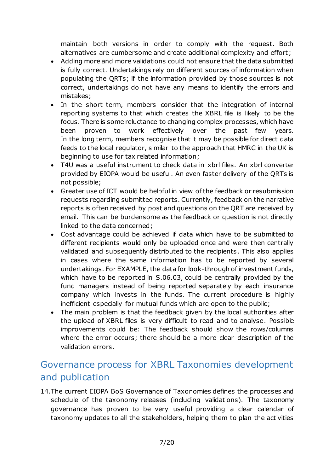maintain both versions in order to comply with the request. Both alternatives are cumbersome and create additional complexity and effort ;

- Adding more and more validations could not ensure that the data submitted is fully correct. Undertakings rely on different sources of information when populating the QRTs; if the information provided by those sources is not correct, undertakings do not have any means to identify the errors and mistakes;
- In the short term, members consider that the integration of internal reporting systems to that which creates the XBRL file is likely to be the focus. There is some reluctance to changing complex processes, which have been proven to work effectively over the past few years. In the long term, members recognise that it may be possible for direct data feeds to the local regulator, similar to the approach that HMRC in the UK is beginning to use for tax related information;
- T4U was a useful instrument to check data in xbrl files. An xbrl converter provided by EIOPA would be useful. An even faster delivery of the QRTs is not possible;
- Greater use of ICT would be helpful in view of the feedback or resubmission requests regarding submitted reports. Currently, feedback on the narrative reports is often received by post and questions on the QRT are received by email. This can be burdensome as the feedback or question is not directly linked to the data concerned;
- Cost advantage could be achieved if data which have to be submitted to different recipients would only be uploaded once and were then centrally validated and subsequently distributed to the recipients. This also applies in cases where the same information has to be reported by several undertakings. For EXAMPLE, the data for look-through of investment funds, which have to be reported in S.06.03, could be centrally provided by the fund managers instead of being reported separately by each insurance company which invests in the funds. The current procedure is highly inefficient especially for mutual funds which are open to the public;
- The main problem is that the feedback given by the local authorities after the upload of XBRL files is very difficult to read and to analyse. Possible improvements could be: The feedback should show the rows/columns where the error occurs; there should be a more clear description of the validation errors.

## Governance process for XBRL Taxonomies development and publication

14.The current EIOPA BoS Governance of Taxonomies defines the processes and schedule of the taxonomy releases (including validations). The taxonomy governance has proven to be very useful providing a clear calendar of taxonomy updates to all the stakeholders, helping them to plan the activities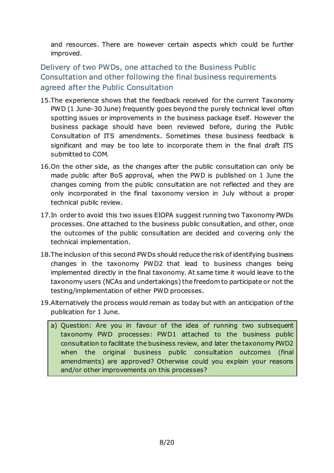and resources. There are however certain aspects which could be further improved.

Delivery of two PWDs, one attached to the Business Public Consultation and other following the final business requirements agreed after the Public Consultation

- 15.The experience shows that the feedback received for the current Taxonomy PWD (1 June-30 June) frequently goes beyond the purely technical level often spotting issues or improvements in the business package itself. However the business package should have been reviewed before, during the Public Consultation of ITS amendments. Sometimes these business feedback is significant and may be too late to incorporate them in the final draft ITS submitted to COM.
- 16.On the other side, as the changes after the public consultation can only be made public after BoS approval, when the PWD is published on 1 June the changes coming from the public consultation are not reflected and they are only incorporated in the final taxonomy version in July without a proper technical public review.
- 17.In order to avoid this two issues EIOPA suggest running two Taxonomy PWDs processes. One attached to the business public consultation, and other, once the outcomes of the public consultation are decided and covering only the technical implementation.
- 18.The inclusion of this second PWDs should reduce the risk of identifying business changes in the taxonomy PWD2 that lead to business changes being implemented directly in the final taxonomy. At same time it would leave to the taxonomy users (NCAs and undertakings) the freedom to participate or not the testing/implementation of either PWD processes.
- 19.Alternatively the process would remain as today but with an anticipation of the publication for 1 June.
	- a) Question: Are you in favour of the idea of running two subsequent taxonomy PWD processes: PWD1 attached to the business public consultation to facilitate the business review, and later the taxonomy PWD2 when the original business public consultation outcomes (final amendments) are approved? Otherwise could you explain your reasons and/or other improvements on this processes?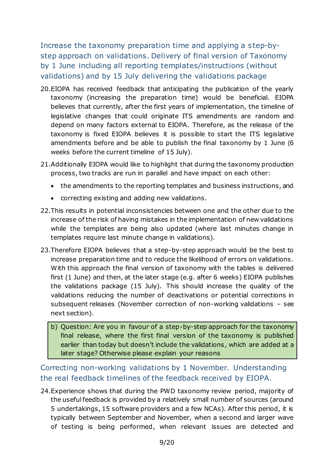Increase the taxonomy preparation time and applying a step-bystep approach on validations. Delivery of final version of Taxonomy by 1 June including all reporting templates/instructions (without validations) and by 15 July delivering the validations package

- 20.EIOPA has received feedback that anticipating the publication of the yearly taxonomy (increasing the preparation time) would be beneficial. EIOPA believes that currently, after the first years of implementation, the timeline of legislative changes that could originate ITS amendments are random and depend on many factors external to EIOPA. Therefore, as the release of the taxonomy is fixed EIOPA believes it is possible to start the ITS legislative amendments before and be able to publish the final taxonomy by 1 June (6 weeks before the current timeline of 15 July).
- 21.Additionally EIOPA would like to highlight that during the taxonomy production process, two tracks are run in parallel and have impact on each other:
	- the amendments to the reporting templates and business instructions, and
	- correcting existing and adding new validations.
- 22.This results in potential inconsistencies between one and the other due to the increase of the risk of having mistakes in the implementation of new validations while the templates are being also updated (where last minutes change in templates require last minute change in validations).
- 23.Therefore EIOPA believes that a step-by-step approach would be the best to increase preparation time and to reduce the likelihood of errors on validations. With this approach the final version of taxonomy with the tables is delivered first (1 June) and then, at the later stage (e.g. after 6 weeks) EIOPA publishes the validations package (15 July). This should increase the quality of the validations reducing the number of deactivations or potential corrections in subsequent releases (November correction of non-working validations – see next section).
	- b) Question: Are you in favour of a step-by-step approach for the taxonomy final release, where the first final version of the taxonomy is published earlier than today but doesn't include the validations, which are added at a later stage? Otherwise please explain your reasons

Correcting non-working validations by 1 November. Understanding the real feedback timelines of the feedback received by EIOPA.

24.Experience shows that during the PWD taxonomy review period, majority of the useful feedback is provided by a relatively small number of sources (around 5 undertakings, 15 software providers and a few NCAs). After this period, it is typically between September and November, when a second and larger wave of testing is being performed, when relevant issues are detected and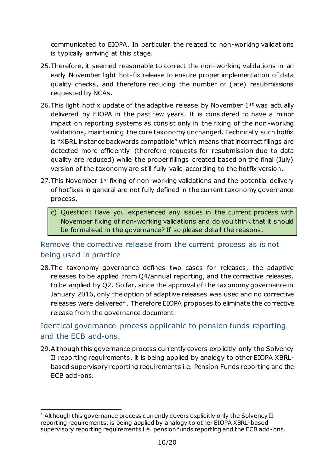communicated to EIOPA. In particular the related to non-working validations is typically arriving at this stage.

- 25.Therefore, it seemed reasonable to correct the non-working validations in an early November light hot-fix release to ensure proper implementation of data quality checks, and therefore reducing the number of (late) resubmissions requested by NCAs.
- 26. This light hotfix update of the adaptive release by November  $1<sup>st</sup>$  was actually delivered by EIOPA in the past few years. It is considered to have a minor impact on reporting systems as consist only in the fixing of the non-working validations, maintaining the core taxonomy unchanged. Technically such hotfix is "XBRL instance backwards compatible" which means that incorrect filings are detected more efficiently (therefore requests for resubmission due to data quality are reduced) while the proper fillings created based on the final (July) version of the taxonomy are still fully valid according to the hotfix version.
- 27. This November 1<sup>st</sup> fixing of non-working validations and the potential delivery of hotfixes in general are not fully defined in the current taxonomy governance process.
	- c) Question: Have you experienced any issues in the current process with November fixing of non-working validations and do you think that it should be formalised in the governance? If so please detail the reasons.

### Remove the corrective release from the current process as is not being used in practice

28.The taxonomy governance defines two cases for releases, the adaptive releases to be applied from Q4/annual reporting, and the corrective releases, to be applied by Q2. So far, since the approval of the taxonomy governance in January 2016, only the option of adaptive releases was used and no corrective releases were delivered4. Therefore EIOPA proposes to eliminate the corrective release from the governance document.

### Identical governance process applicable to pension funds reporting and the ECB add-ons.

29.Although this governance process currently covers explicitly only the Solvency II reporting requirements, it is being applied by analogy to other EIOPA XBRLbased supervisory reporting requirements i.e. Pension Funds reporting and the ECB add-ons.

1

<sup>4</sup> Although this governance process currently covers explicitly only the Solvency II reporting requirements, is being applied by analogy to other EIOPA XBRL-based supervisory reporting requirements i.e. pension funds reporting and the ECB add-ons.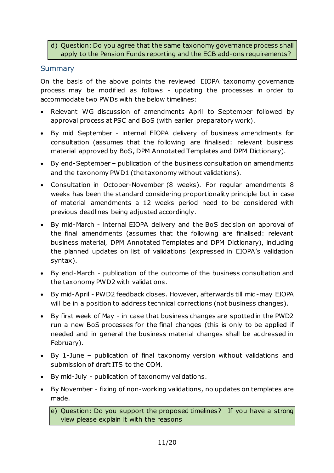#### d) Question: Do you agree that the same taxonomy governance process shall apply to the Pension Funds reporting and the ECB add-ons requirements?

#### **Summary**

On the basis of the above points the reviewed EIOPA taxonomy governance process may be modified as follows - updating the processes in order to accommodate two PWDs with the below timelines:

- Relevant WG discussion of amendments April to September followed by approval process at PSC and BoS (with earlier preparatory work).
- By mid September internal EIOPA delivery of business amendments for consultation (assumes that the following are finalised: relevant business material approved by BoS, DPM Annotated Templates and DPM Dictionary).
- By end-September publication of the business consultation on amendments and the taxonomy PWD1 (the taxonomy without validations).
- Consultation in October-November (8 weeks). For regular amendments 8 weeks has been the standard considering proportionality principle but in case of material amendments a 12 weeks period need to be considered with previous deadlines being adjusted accordingly.
- By mid-March internal EIOPA delivery and the BoS decision on approval of the final amendments (assumes that the following are finalised: relevant business material, DPM Annotated Templates and DPM Dictionary), including the planned updates on list of validations (expressed in EIOPA's validation syntax).
- By end-March publication of the outcome of the business consultation and the taxonomy PWD2 with validations.
- By mid-April PWD2 feedback closes. However, afterwards till mid-may EIOPA will be in a position to address technical corrections (not business changes).
- By first week of May in case that business changes are spotted in the PWD2 run a new BoS processes for the final changes (this is only to be applied if needed and in general the business material changes shall be addressed in February).
- By 1-June publication of final taxonomy version without validations and submission of draft ITS to the COM.
- By mid-July publication of taxonomy validations.
- By November fixing of non-working validations, no updates on templates are made.

e) Question: Do you support the proposed timelines? If you have a strong view please explain it with the reasons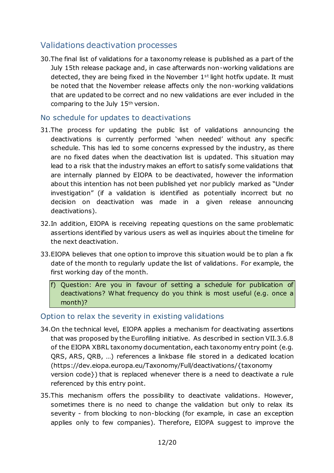## Validations deactivation processes

30.The final list of validations for a taxonomy release is published as a part of the July 15th release package and, in case afterwards non-working validations are detected, they are being fixed in the November  $1<sup>st</sup>$  light hotfix update. It must be noted that the November release affects only the non-working validations that are updated to be correct and no new validations are ever included in the comparing to the July 15th version.

#### No schedule for updates to deactivations

- 31.The process for updating the public list of validations announcing the deactivations is currently performed 'when needed' without any specific schedule. This has led to some concerns expressed by the industry, as there are no fixed dates when the deactivation list is updated. This situation may lead to a risk that the industry makes an effort to satisfy some validations that are internally planned by EIOPA to be deactivated, however the information about this intention has not been published yet nor publicly marked as "Under investigation" (if a validation is identified as potentially incorrect but no decision on deactivation was made in a given release announcing deactivations).
- 32.In addition, EIOPA is receiving repeating questions on the same problematic assertions identified by various users as well as inquiries about the timeline for the next deactivation.
- 33.EIOPA believes that one option to improve this situation would be to plan a fix date of the month to regularly update the list of validations. For example, the first working day of the month.
	- f) Question: Are you in favour of setting a schedule for publication of deactivations? What frequency do you think is most useful (e.g. once a month)?

#### Option to relax the severity in existing validations

- 34.On the technical level, EIOPA applies a mechanism for deactivating assertions that was proposed by the Eurofiling initiative. As described in section VII.3.6.8 of the EIOPA XBRL taxonomy documentation, each taxonomy entry point (e.g. QRS, ARS, QRB, …) references a linkbase file stored in a dedicated location (https://dev.eiopa.europa.eu/Taxonomy/Full/deactivations/{taxonomy version code}) that is replaced whenever there is a need to deactivate a rule referenced by this entry point.
- 35.This mechanism offers the possibility to deactivate validations. However, sometimes there is no need to change the validation but only to relax its severity - from blocking to non-blocking (for example, in case an exception applies only to few companies). Therefore, EIOPA suggest to improve the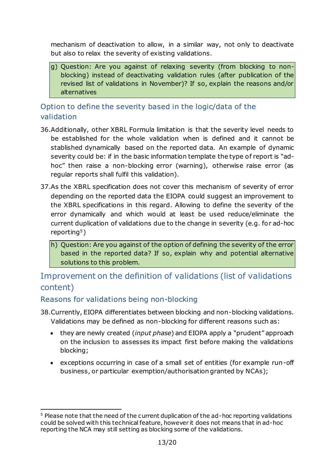mechanism of deactivation to allow, in a similar way, not only to deactivate but also to relax the severity of existing validations.

g) Question: Are you against of relaxing severity (from blocking to nonblocking) instead of deactivating validation rules (after publication of the revised list of validations in November)? If so, explain the reasons and/or alternatives

Option to define the severity based in the logic/data of the validation

- 36.Additionally, other XBRL Formula limitation is that the severity level needs to be established for the whole validation when is defined and it cannot be stablished dynamically based on the reported data. An example of dynamic severity could be: if in the basic information template the type of report is "adhoc" then raise a non-blocking error (warning), otherwise raise error (as regular reports shall fulfil this validation).
- 37.As the XBRL specification does not cover this mechanism of severity of error depending on the reported data the EIOPA could suggest an improvement to the XBRL specifications in this regard. Allowing to define the severity of the error dynamically and which would at least be used reduce/eliminate the current duplication of validations due to the change in severity (e.g. for ad-hoc reporting5)
	- h) Question: Are you against of the option of defining the severity of the error based in the reported data? If so, explain why and potential alternative solutions to this problem.

## Improvement on the definition of validations (list of validations content)

#### Reasons for validations being non-blocking

- 38.Currently, EIOPA differentiates between blocking and non-blocking validations. Validations may be defined as non-blocking for different reasons such as:
	- they are newly created (*input phase*) and EIOPA apply a "prudent" approach on the inclusion to assesses its impact first before making the validations blocking;
	- exceptions occurring in case of a small set of entities (for example run-off business, or particular exemption/authorisation granted by NCAs);

<sup>1</sup> <sup>5</sup> Please note that the need of the current duplication of the ad-hoc reporting validations could be solved with this technical feature, however it does not means that in ad-hoc reporting the NCA may still setting as blocking some of the validations.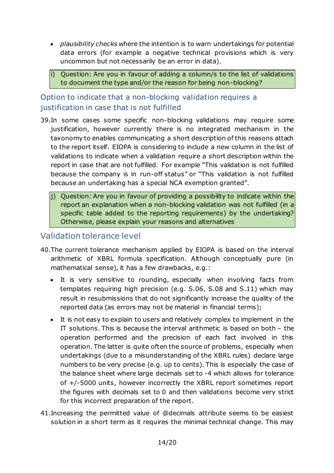- *plausibility checks* where the intention is to warn undertakings for potential data errors (for example a negative technical provisions which is very uncommon but not necessarily be an error in data).
- i) Question: Are you in favour of adding a column/s to the list of validations to document the type and/or the reason for being non-blocking?

### Option to indicate that a non-blocking validation requires a justification in case that is not fulfilled

- 39.In some cases some specific non-blocking validations may require some justification, however currently there is no integrated mechanism in the taxonomy to enables communicating a short description of this reasons attach to the report itself. EIOPA is considering to include a new column in the list of validations to indicate when a validation require a short description within the report in case that are not fulfilled. For example "This validation is not fulfilled because the company is in run-off status" or "This validation is not fulfilled because an undertaking has a special NCA exemption granted".
	- $\vert$ i) Question: Are you in favour of providing a possibility to indicate within the report an explanation when a non-blocking validation was not fulfilled (in a specific table added to the reporting requirements) by the undertaking? Otherwise, please explain your reasons and alternatives

### Validation tolerance level

- 40.The current tolerance mechanism applied by EIOPA is based on the interval arithmetic of XBRL formula specification. Although conceptually pure (in mathematical sense), it has a few drawbacks, e.g.:
	- It is very sensitive to rounding, especially when involving facts from templates requiring high precision (e.g. S.06, S.08 and S.11) which may result in resubmissions that do not significantly increase the quality of the reported data (as errors may not be material in financial terms);
	- It is not easy to explain to users and relatively complex to implement in the IT solutions. This is because the interval arithmetic is based on both – the operation performed and the precision of each fact involved in this operation. The latter is quite often the source of problems, especially when undertakings (due to a misunderstanding of the XBRL rules) declare large numbers to be very precise (e.g. up to cents). This is especially the case of the balance sheet where large decimals set to -4 which allows for tolerance of +/-5000 units, however incorrectly the XBRL report sometimes report the figures with decimals set to 0 and then validations become very strict for this incorrect preparation of the report.
- 41.Increasing the permitted value of @decimals attribute seems to be easiest solution in a short term as it requires the minimal technical change. This may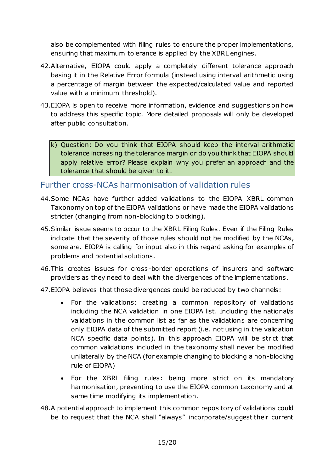also be complemented with filing rules to ensure the proper implementations, ensuring that maximum tolerance is applied by the XBRL engines.

- 42.Alternative, EIOPA could apply a completely different tolerance approach basing it in the Relative Error formula (instead using interval arithmetic using a percentage of margin between the expected/calculated value and reported value with a minimum threshold).
- 43.EIOPA is open to receive more information, evidence and suggestions on how to address this specific topic. More detailed proposals will only be developed after public consultation.

k) Question: Do you think that EIOPA should keep the interval arithmetic tolerance increasing the tolerance margin or do you think that EIOPA should apply relative error? Please explain why you prefer an approach and the tolerance that should be given to it.

### Further cross-NCAs harmonisation of validation rules

- 44.Some NCAs have further added validations to the EIOPA XBRL common Taxonomy on top of the EIOPA validations or have made the EIOPA validations stricter (changing from non-blocking to blocking).
- 45.Similar issue seems to occur to the XBRL Filing Rules. Even if the Filing Rules indicate that the severity of those rules should not be modified by the NCAs, some are. EIOPA is calling for input also in this regard asking for examples of problems and potential solutions.
- 46.This creates issues for cross-border operations of insurers and software providers as they need to deal with the divergences of the implementations.
- 47.EIOPA believes that those divergences could be reduced by two channels:
	- For the validations: creating a common repository of validations including the NCA validation in one EIOPA list. Including the national/s validations in the common list as far as the validations are concerning only EIOPA data of the submitted report (i.e. not using in the validation NCA specific data points). In this approach EIOPA will be strict that common validations included in the taxonomy shall never be modified unilaterally by the NCA (for example changing to blocking a non-blocking rule of EIOPA)
	- For the XBRL filing rules: being more strict on its mandatory harmonisation, preventing to use the EIOPA common taxonomy and at same time modifying its implementation.
- 48.A potential approach to implement this common repository of validations could be to request that the NCA shall "always" incorporate/suggest their current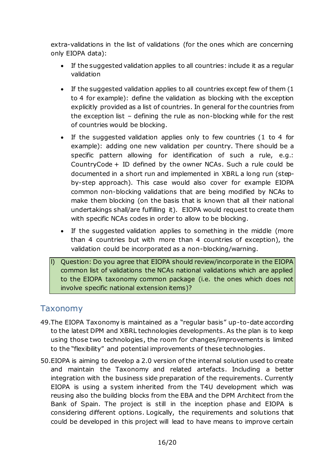extra-validations in the list of validations (for the ones which are concerning only EIOPA data):

- If the suggested validation applies to all countries: include it as a regular validation
- If the suggested validation applies to all countries except few of them (1 to 4 for example): define the validation as blocking with the exception explicitly provided as a list of countries. In general for the countries from the exception list – defining the rule as non-blocking while for the rest of countries would be blocking.
- If the suggested validation applies only to few countries (1 to 4 for example): adding one new validation per country. There should be a specific pattern allowing for identification of such a rule, e.g.: CountryCode + ID defined by the owner NCAs. Such a rule could be documented in a short run and implemented in XBRL a long run (stepby-step approach). This case would also cover for example EIOPA common non-blocking validations that are being modified by NCAs to make them blocking (on the basis that is known that all their national undertakings shall/are fulfilling it). EIOPA would request to create them with specific NCAs codes in order to allow to be blocking.
- If the suggested validation applies to something in the middle (more than 4 countries but with more than 4 countries of exception), the validation could be incorporated as a non-blocking/warning.
- l) Question: Do you agree that EIOPA should review/incorporate in the EIOPA common list of validations the NCAs national validations which are applied to the EIOPA taxonomy common package (i.e. the ones which does not involve specific national extension items)?

### Taxonomy

- 49.The EIOPA Taxonomy is maintained as a "regular basis" up-to-date according to the latest DPM and XBRL technologies developments. As the plan is to keep using those two technologies, the room for changes/improvements is limited to the "flexibility" and potential improvements of these technologies.
- 50.EIOPA is aiming to develop a 2.0 version of the internal solution used to create and maintain the Taxonomy and related artefacts. Including a better integration with the business side preparation of the requirements. Currently EIOPA is using a system inherited from the T4U development which was reusing also the building blocks from the EBA and the DPM Architect from the Bank of Spain. The project is still in the inception phase and EIOPA is considering different options. Logically, the requirements and solutions that could be developed in this project will lead to have means to improve certain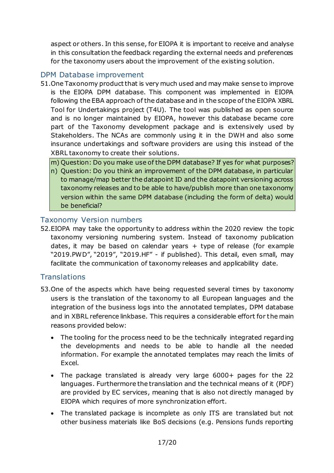aspect or others. In this sense, for EIOPA it is important to receive and analyse in this consultation the feedback regarding the external needs and preferences for the taxonomy users about the improvement of the existing solution.

#### DPM Database improvement

51.One Taxonomy product that is very much used and may make sense to improve is the EIOPA DPM database. This component was implemented in EIOPA following the EBA approach of the database and in the scope of the EIOPA XBRL Tool for Undertakings project (T4U). The tool was published as open source and is no longer maintained by EIOPA, however this database became core part of the Taxonomy development package and is extensively used by Stakeholders. The NCAs are commonly using it in the DWH and also some insurance undertakings and software providers are using this instead of the XBRL taxonomy to create their solutions.

m) Question: Do you make use of the DPM database? If yes for what purposes?

n) Question: Do you think an improvement of the DPM database, in particular to manage/map better the datapoint ID and the datapoint versioning across taxonomy releases and to be able to have/publish more than one taxonomy version within the same DPM database (including the form of delta) would be beneficial?

#### Taxonomy Version numbers

52.EIOPA may take the opportunity to address within the 2020 review the topic taxonomy versioning numbering system. Instead of taxonomy publication dates, it may be based on calendar years  $+$  type of release (for example "2019.PWD", "2019", "2019.HF" - if published). This detail, even small, may facilitate the communication of taxonomy releases and applicability date.

#### **Translations**

- 53.One of the aspects which have being requested several times by taxonomy users is the translation of the taxonomy to all European languages and the integration of the business logs into the annotated templates, DPM database and in XBRL reference linkbase. This requires a considerable effort for the main reasons provided below:
	- The tooling for the process need to be the technically integrated regarding the developments and needs to be able to handle all the needed information. For example the annotated templates may reach the limits of Excel.
	- The package translated is already very large 6000+ pages for the 22 languages. Furthermore the translation and the technical means of it (PDF) are provided by EC services, meaning that is also not directly managed by EIOPA which requires of more synchronization effort.
	- The translated package is incomplete as only ITS are translated but not other business materials like BoS decisions (e.g. Pensions funds reporting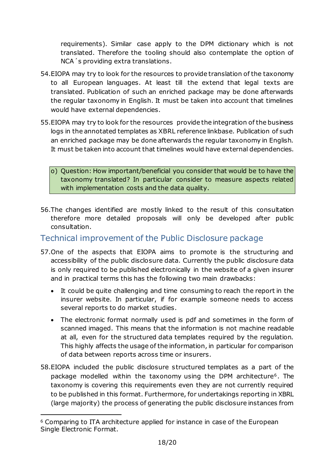requirements). Similar case apply to the DPM dictionary which is not translated. Therefore the tooling should also contemplate the option of NCA´s providing extra translations.

- 54.EIOPA may try to look for the resources to provide translation of the taxonomy to all European languages. At least till the extend that legal texts are translated. Publication of such an enriched package may be done afterwards the regular taxonomy in English. It must be taken into account that timelines would have external dependencies.
- 55.EIOPA may try to look for the resources provide the integration of the business logs in the annotated templates as XBRL reference linkbase. Publication of such an enriched package may be done afterwards the regular taxonomy in English. It must be taken into account that timelines would have external dependencies.
	- o) Question: How important/beneficial you consider that would be to have the taxonomy translated? In particular consider to measure aspects related with implementation costs and the data quality.
- 56.The changes identified are mostly linked to the result of this consultation therefore more detailed proposals will only be developed after public consultation.

### Technical improvement of the Public Disclosure package

- 57.One of the aspects that EIOPA aims to promote is the structuring and accessibility of the public disclosure data. Currently the public disclosure data is only required to be published electronically in the website of a given insurer and in practical terms this has the following two main drawbacks:
	- It could be quite challenging and time consuming to reach the report in the insurer website. In particular, if for example someone needs to access several reports to do market studies.
	- The electronic format normally used is pdf and sometimes in the form of scanned imaged. This means that the information is not machine readable at all, even for the structured data templates required by the regulation. This highly affects the usage of the information, in particular for comparison of data between reports across time or insurers.
- 58.EIOPA included the public disclosure structured templates as a part of the package modelled within the taxonomy using the DPM architecture6. The taxonomy is covering this requirements even they are not currently required to be published in this format. Furthermore, for undertakings reporting in XBRL (large majority) the process of generating the public disclosure instances from

1

<sup>6</sup> Comparing to ITA architecture applied for instance in case of the European Single Electronic Format.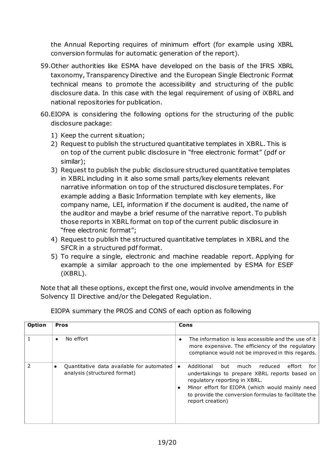the Annual Reporting requires of minimum effort (for example using XBRL conversion formulas for automatic generation of the report).

- 59.Other authorities like ESMA have developed on the basis of the IFRS XBRL taxonomy, Transparency Directive and the European Single Electronic Format technical means to promote the accessibility and structuring of the public disclosure data. In this case with the legal requirement of using of iXBRL and national repositories for publication.
- 60.EIOPA is considering the following options for the structuring of the public disclosure package:
	- 1) Keep the current situation;
	- 2) Request to publish the structured quantitative templates in XBRL. This is on top of the current public disclosure in "free electronic format" (pdf or similar);
	- 3) Request to publish the public disclosure structured quantitative templates in XBRL including in it also some small parts/key elements relevant narrative information on top of the structured disclosure templates. For example adding a Basic Information template with key elements, like company name, LEI, information if the document is audited, the name of the auditor and maybe a brief resume of the narrative report. To publish those reports in XBRL format on top of the current public disclosure in "free electronic format";
	- 4) Request to publish the structured quantitative templates in XBRL and the SFCR in a structured pdf format.
	- 5) To require a single, electronic and machine readable report. Applying for example a similar approach to the one implemented by ESMA for ESEF (iXBRL).

Note that all these options, except the first one, would involve amendments in the Solvency II Directive and/or the Delegated Regulation.

| <b>Option</b> | <b>Pros</b>                                                                            | Cons                                                                                                                                                                                                                                                                                             |
|---------------|----------------------------------------------------------------------------------------|--------------------------------------------------------------------------------------------------------------------------------------------------------------------------------------------------------------------------------------------------------------------------------------------------|
|               | No effort<br>$\bullet$                                                                 | The information is less accessible and the use of it<br>more expensive. The efficiency of the regulatory<br>compliance would not be improved in this regards.                                                                                                                                    |
| フ             | Quantitative data available for automated<br>$\bullet$<br>analysis (structured format) | Additional<br>reduced<br>but<br>much<br>effort<br>for<br>$\bullet$<br>undertakings to prepare XBRL reports based on<br>regulatory reporting in XBRL.<br>Minor effort for EIOPA (which would mainly need<br>$\bullet$<br>to provide the conversion formulas to facilitate the<br>report creation) |

EIOPA summary the PROS and CONS of each option as following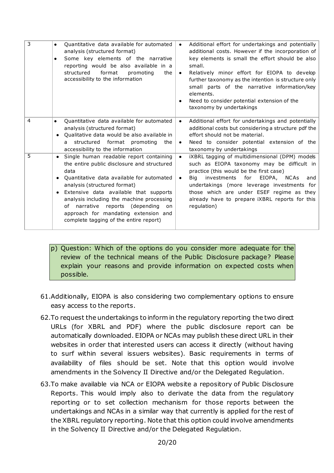| 3              | Quantitative data available for automated<br>analysis (structured format)<br>Some key elements of the narrative<br>$\bullet$<br>reporting would be also available in a<br>structured<br>format<br>promoting<br>the<br>accessibility to the information                                                                                                                                                                         | Additional effort for undertakings and potentially<br>$\bullet$<br>additional costs. However if the incorporation of<br>key elements is small the effort should be also<br>small.<br>Relatively minor effort for EIOPA to develop<br>$\bullet$<br>further taxonomy as the intention is structure only<br>small parts of the narrative information/key<br>elements.<br>Need to consider potential extension of the<br>$\bullet$<br>taxonomy by undertakings |
|----------------|--------------------------------------------------------------------------------------------------------------------------------------------------------------------------------------------------------------------------------------------------------------------------------------------------------------------------------------------------------------------------------------------------------------------------------|------------------------------------------------------------------------------------------------------------------------------------------------------------------------------------------------------------------------------------------------------------------------------------------------------------------------------------------------------------------------------------------------------------------------------------------------------------|
| $\overline{4}$ | Quantitative data available for automated<br>$\bullet$<br>analysis (structured format)<br>Qualitative data would be also available in<br>structured format promoting the<br>$\overline{a}$<br>accessibility to the information                                                                                                                                                                                                 | Additional effort for undertakings and potentially<br>$\bullet$<br>additional costs but considering a structure pdf the<br>effort should not be material.<br>Need to consider potential extension of the<br>$\bullet$<br>taxonomy by undertakings                                                                                                                                                                                                          |
| 5              | Single human readable report containing<br>the entire public disclosure and structured<br>data<br>Quantitative data available for automated<br>$\bullet$<br>analysis (structured format)<br>Extensive data available that supports<br>$\bullet$<br>analysis including the machine processing<br>of narrative reports (depending<br><b>on</b><br>approach for mandating extension and<br>complete tagging of the entire report) | iXBRL tagging of multidimensional (DPM) models<br>$\bullet$<br>such as EIOPA taxonomy may be difficult in<br>practice (this would be the first case)<br>investments for<br>EIOPA, NCAs<br>Bia<br>and<br>$\bullet$<br>undertakings (more leverage investments for<br>those which are under ESEF regime as they<br>already have to prepare <i>iXBRL</i> reports for this<br>regulation)                                                                      |

p) Question: Which of the options do you consider more adequate for the review of the technical means of the Public Disclosure package? Please explain your reasons and provide information on expected costs when possible.

- 61.Additionally, EIOPA is also considering two complementary options to ensure easy access to the reports.
- 62.To request the undertakings to inform in the regulatory reporting the two direct URLs (for XBRL and PDF) where the public disclosure report can be automatically downloaded. EIOPA or NCAs may publish these direct URL in their websites in order that interested users can access it directly (without having to surf within several issuers websites). Basic requirements in terms of availability of files should be set. Note that this option would involve amendments in the Solvency II Directive and/or the Delegated Regulation.
- 63.To make available via NCA or EIOPA website a repository of Public Disclosure Reports. This would imply also to derivate the data from the regulatory reporting or to set collection mechanism for those reports between the undertakings and NCAs in a similar way that currently is applied for the rest of the XBRL regulatory reporting. Note that this option could involve amendments in the Solvency II Directive and/or the Delegated Regulation.